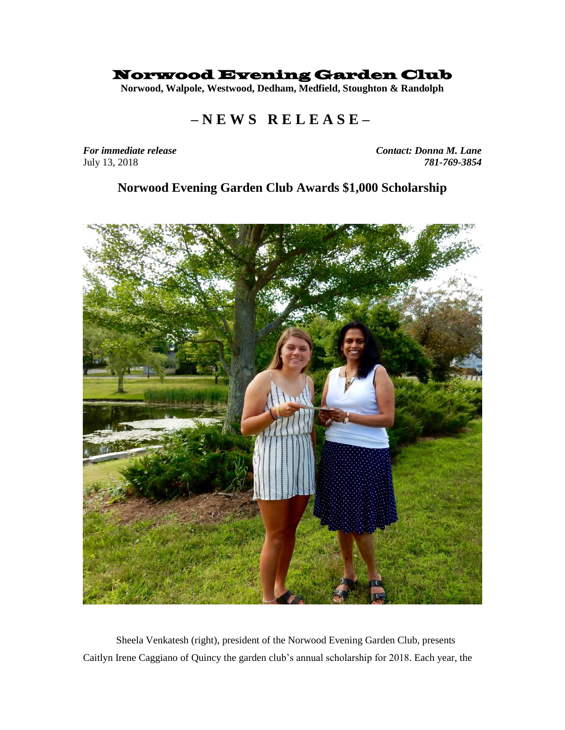Norwood Evening Garden Club

**Norwood, Walpole, Westwood, Dedham, Medfield, Stoughton & Randolph**

## **– N E W S R E L E A S E –**

*For immediate release Contact: Donna M. Lane*  July 13, 2018 *781-769-3854*

## **Norwood Evening Garden Club Awards \$1,000 Scholarship**



Sheela Venkatesh (right), president of the Norwood Evening Garden Club, presents Caitlyn Irene Caggiano of Quincy the garden club's annual scholarship for 2018. Each year, the